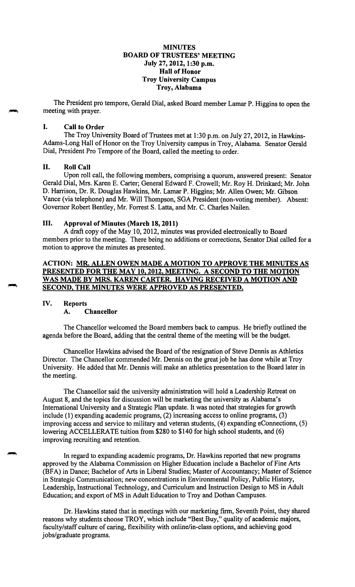### **MINUTES BOARD OF TRUSTEES' MEETING July 27, 2012, 1:30 p.m. Hall of Honor Troy University Campus Troy, Alabama**

The President pro tempore, Gerald Dial, asked Board member Lamar P. Higgins to open the meeting with prayer.

### I. **Call to Order**

The Troy University Board of Trustees met at 1 :30 p.m. on July 27, 2012, in Hawkins-Adams-Long Hall of Honor on the Troy University campus in Troy, Alabama. Senator Gerald Dial, President Pro Tempore of the Board, called the meeting to order.

### II. **Roll Call**

Upon roll call, the following members, comprising a quorum, answered present: Senator Gerald Dial, Mrs. Karen E. Carter; General Edward F. Crowell; Mr. Roy H. Drinkard; Mr. John D. Harrison, Dr. R. Douglas Hawkins, Mr. Lamar P. Higgins; Mr. Allen Owen; Mr. Gibson Vance (via telephone) and Mr. Will Thompson, SGA President (non-voting member). Absent: Governor Robert Bentley, Mr. Forrest S. Latta, and Mr. C. Charles Nailen.

#### III. **Approval of Minutes (March 18, 2011)**

A draft copy of the May 10, 2012, minutes was provided electronically to Board members prior to the meeting. There being no additions or corrections, Senator Dial called for a motion to approve the minutes as presented.

## **ACTION: MR. ALLEN OWEN MADE A MOTION TO APPROVE THE MINUTES AS PRESENTED FOR THE MAY 10, 2012, MEETING. A SECOND TO THE MOTION WAS MADE BY MRS. KAREN CARTER. HAVING RECEIVED A MOTION AND SECOND, THE MINUTES WERE APPROVED AS PRESENTED.**

#### **IV. Reports A. Chancellor**

The Chancellor welcomed the Board members back to campus. He briefly outlined the agenda before the Board, adding that the central theme of the meeting will be the budget.

Chancellor Hawkins advised the Board of the resignation of Steve Dennis as Athletics Director. The Chancellor commended Mr. Dennis on the great job he has done while at Troy University. He added that Mr. Dennis will make an athletics presentation to the Board later in the meeting.

The Chancellor said the university administration will hold a Leadership Retreat on August 8, and the topics for discussion will be marketing the university as Alabama's International University and a Strategic Plan update. It was noted that strategies for growth include (1) expanding academic programs, (2) increasing access to online programs, (3) improving access and service to military and veteran students, (4) expanding eConnections, (5) lowering ACCELLERATE tuition from \$280 to \$140 for high school students, and (6) improving recruiting and retention.

In regard to expanding academic programs, Dr. Hawkins reported that new programs approved by the Alabama Commission on Higher Education include a Bachelor of Fine Arts (BF A) in Dance; Bachelor of Arts in Liberal Studies; Master of Accountancy; Master of Science in Strategic Communication; new concentrations in Environmental Policy, Public History, Leadership, Instructional Technology, and Curriculum and Instruction Design to MS in Adult Education; and export of MS in Adult Education to Troy and Dothan Campuses.

Dr. Hawkins stated that in meetings with our marketing firm, Seventh Point, they shared reasons why students choose TROY, which include "Best Buy," quality of academic majors, faculty/staff culture of caring, flexibility with online/in-class options, and achieving good jobs/graduate programs.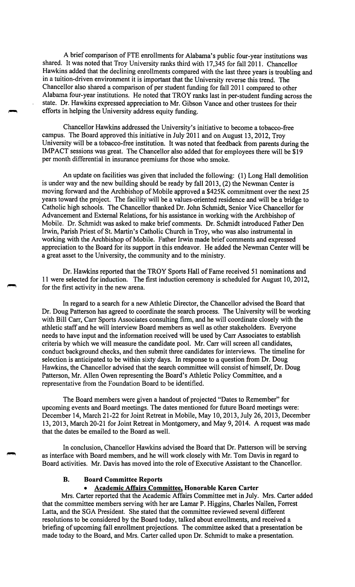A brief comparison of FTE enrollments for Alabama's public four-year institutions was shared. It was noted that Troy University ranks third with 17,345 for fall 2011. Chancellor Hawkins added that the declining enrollments compared with the last three years is troubling and in a tuition-driven environment it is important that the University reverse this trend. The Chancellor also shared a comparison of per student funding for fall 2011 compared to other Alabama four-year institutions. He noted that TROY ranks last in per-student funding across the state. Dr. Hawkins expressed appreciation to Mr. Gibson Vance and other trustees for their efforts in helping the University address equity funding.

Chancellor Hawkins addressed the University's initiative to become a tobacco-free campus. The Board approved this initiative in July 2011 and on August 13, 2012, Troy University will be a tobacco-free institution. It was noted that feedback from parents during the IMP ACT sessions was great. The Chancellor also added that for employees there will be \$19 per month differential in insurance premiums for those who smoke.

An update on facilities was given that included the following: ( 1) Long Hall demolition is under way and the new building should be ready by fall 2013, (2) the Newman Center is moving forward and the Archbishop of Mobile approved a \$425K commitment over the next 25 years toward the project. The facility will be a values-oriented residence and will be a bridge to Catholic high schools. The Chancellor thanked Dr. John Schmidt, Senior Vice Chancellor for Advancement and External Relations, for his assistance in working with the Archbishop of Mobile. Dr. Schmidt was asked to make brief comments. Dr. Schmidt introduced Father Den Irwin, Parish Priest of St. Martin's Catholic Church in Troy, who was also instrumental in working with the Archbishop of Mobile. Father Irwin made brief comments and expressed appreciation to the Board for its support in this endeavor. He added the Newman Center will be a great asset to the University, the community and to the ministry.

Dr. Hawkins reported that the TROY Sports Hall of Fame received 51 nominations and 11 were selected for induction. The first induction ceremony is scheduled for August 10, 2012, for the first activity in the new arena.

In regard to a search for a new Athletic Director, the Chancellor advised the Board that Dr. Doug Patterson has agreed to coordinate the search process. The University will be working with Bill Carr, Carr Sports Associates consulting firm, and he will coordinate closely with the athletic staff and he will interview Board members as well as other stakeholders. Everyone needs to have input and the information received will be used by Carr Associates to establish criteria by which we will measure the candidate pool. Mr. Carr will screen all candidates, conduct background checks, and then submit three candidates for interviews. The timeline for selection is anticipated to be within sixty days. In response to a question from Dr. Doug Hawkins, the Chancellor advised that the search committee will consist of himself, Dr. Doug Patterson, Mr. Allen Owen representing the Board's Athletic Policy Committee, and a representative from the Foundation Board to be identified.

The Board members were given a handout of projected "Dates to Remember" for upcoming events and Board meetings. The dates mentioned for future Board meetings were: December 14, March 21-22 for Joint Retreat in Mobile, May 10, 2013, July 26, 2013, December 13, 2013, March 20-21 for Joint Retreat in Montgomery, and May 9, 2014. A request was made that the dates be emailed to the Board as well.

In conclusion, Chancellor Hawkins advised the Board that Dr. Patterson will be serving as interface with Board members, and he will work closely with Mr. Tom Davis in regard to Board activities. Mr. Davis has moved into the role of Executive Assistant to the Chancellor.

### **B. Board Committee Reports**

### • **Academic Affairs Committee, Honorable Karen Carter**

Mrs. Carter reported that the Academic Affairs Committee met in July. Mrs. Carter added that the committee members serving with her are Lamar P. Higgins, Charles Nailen, Forrest Latta, and the SGA President. She stated that the committee reviewed several different resolutions to be considered by the Board today, talked about enrollments, and received a briefing of upcoming fall enrollment projections. The committee asked that a presentation be made today to the Board, and Mrs. Carter called upon Dr. Schmidt to make a presentation.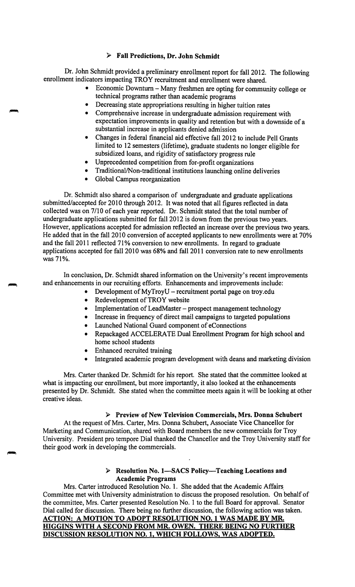## ► **Fall Predictions, Dr. John Schmidt**

Dr. John Schmidt provided a preliminary enrollment report for fall 2012. The following enrollment indicators impacting TROY recruitment and enrollment were shared.

- Economic Downturn Many freshmen are opting for community college or technical programs rather than academic programs
- Decreasing state appropriations resulting in higher tuition rates
- Comprehensive increase in undergraduate admission requirement with expectation improvements in quality and retention but with a downside of a substantial increase in applicants denied admission
- Changes in federal financial aid effective fall 2012 to include Pell Grants limited to 12 semesters (lifetime), graduate students no longer eligible for subsidized loans, and rigidity of satisfactory progress rule
- Unprecedented competition from for-profit organizations
- Traditional/Non-traditional institutions launching online deliveries
- Global Campus reorganization

Dr. Schmidt also shared a comparison of undergraduate and graduate applications submitted/accepted for 2010 through 2012. It was noted that all figures reflected in data collected was on 7/10 of each year reported. Dr. Schmidt stated that the total number of undergraduate applications submitted for fall 2012 is down from the previous two years. However, applications accepted for admission reflected an increase over the previous two years. He added that in the fall 2010 conversion of accepted applicants to new enrollments were at 70% and the fall 2011 reflected 71% conversion to new enrollments. In regard to graduate applications accepted for fall 2010 was 68% and fall 2011 conversion rate to new enrollments was 71%.

In conclusion, Dr. Schmidt shared information on the University's recent improvements and enhancements in our recruiting efforts. Enhancements and improvements include:

- Development of MyTroyU recruitment portal page on [troy.edu](https://troy.edu)
	- Redevelopment of TROY website
- Implementation of LeadMaster prospect management technology
- Increase in frequency of direct mail campaigns to targeted populations
- Launched National Guard component of eConnections
- Repackaged ACCELERATE Dual Enrollment Program for high school and home school students
- Enhanced recruited training
- Integrated academic program development with deans and marketing division

Mrs. Carter thanked Dr. Schmidt for his report. She stated that the committee looked at what is impacting our enrollment, but more importantly, it also looked at the enhancements presented by Dr. Schmidt. She stated when the committee meets again it will be looking at other creative ideas.

## ► **Preview of New Television Commercials, Mrs. Donna Schubert**

At the request of Mrs. Carter, Mrs. Donna Schubert, Associate Vice Chancellor for Marketing and Communication, shared with Board members the new commercials for Troy University. President pro tempore Dial thanked the Chancellor and the Troy University staff for their good work in developing the commercials.

## ► **Resolution No. 1-SACS Policy-Teaching Locations and Academic Programs**

Mrs. Carter introduced Resolution No. 1. She added that the Academic Affairs\_ Committee met with University administration to discuss the proposed resolution. On behalf of the committee, Mrs. Carter presented Resolution No. 1 to the full Board for approval. Senator Dial called for discussion. There being no further discussion, the following action was taken. **ACTION: A MOTION TO ADOPT RESOLUTION NO. 1 WAS MADE BY MR. HIGGINS WITH A SECOND FROM MR. OWEN. THERE BEING NO FURTHER DISCUSSION RESOLUTION NO. 1, WHICH FOLLOWS, WAS ADOPTED.**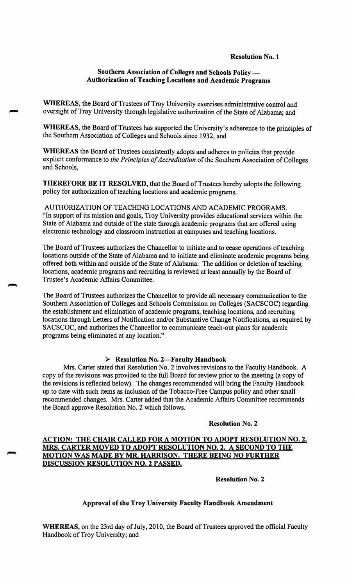### **Resolution No. 1**

## **Southern Association of Colleges and Schools Policy — Authorization of Teaching Locations and Academic Programs**

**WHEREAS,** the Board of Trustees of Troy University exercises administrative control and oversight of Troy University through legislative authorization of the State of Alabama; and

**WHEREAS,** the Board of Trustees has supported the University's adherence to the principles of the Southern Association of Colleges and Schools since 1932, and

**WHEREAS** the Board of Trustees consistently adopts and adheres to policies that provide explicit conformance to *the Principles of Accreditation* of the Southern Association of Colleges and Schools,

**THEREFORE BE IT RESOLVED,** that the Board of Trustees hereby adopts the following policy for authorization of teaching locations and academic programs.

AUTHORIZATION OF TEACHING LOCATIONS AND ACADEMIC PROGRAMS. "In support of its mission and goals, Troy University provides educational services within the State of Alabama and outside of the state through academic programs that are offered using electronic technology and classroom instruction at campuses and teaching locations.

The Board of Trustees authorizes the Chancellor to initiate and to cease operations of teaching locations outside of the State of Alabama and to initiate and eliminate academic programs being offered both within and outside of the State of Alabama. The addition or deletion of teaching locations, academic programs and recruiting is reviewed at least annually by the Board of Trustee's Academic Affairs Committee.

The Board of Trustees authorizes the Chancellor to provide all necessary communication to the Southern Association of Colleges and Schools Commission on Colleges {SACSCOC) regarding the establishment and elimination of academic programs, teaching locations, and recruiting locations through Letters of Notification and/or Substantive Change Notifications, as required by SACSCOC, and authorizes the Chancellor to communicate teach-out plans for academic programs being eliminated at any location."

### ► **Resolution No. 2-Faculty Handbook**

Mrs. Carter stated that Resolution No. 2 involves revisions to the Faculty Handbook. A copy of the revisions was provided to the full Board for review prior to the meeting (a copy of the revisions is reflected below). The changes recommended will bring the Faculty Handbook up to date with such items as inclusion of the Tobacco-Free Campus policy and other small recommended changes. Mrs. Carter added that the Academic Affairs Committee recommends the Board approve Resolution No. 2 which follows.

#### **Resolution No. 2**

## **ACTION: THE CHAIR CALLED FOR A MOTION TO ADOPT RESOLUTION NO. 2. MRS. CARTER MOVED TO ADOPT RESOLUTION NO. 2. A SECOND TO THE MOTION WAS MADE BY MR. HARRISON. THERE BEING NO FURTHER DISCUSSION RESOLUTION NO. 2 PASSED.**

**Resolution No. 2** 

## **Approval of the Troy University Faculty Handbook Amendment**

**WHEREAS,** on the 23rd day of July, 2010, the Board of Trustees approved the official Faculty Handbook of Troy University; and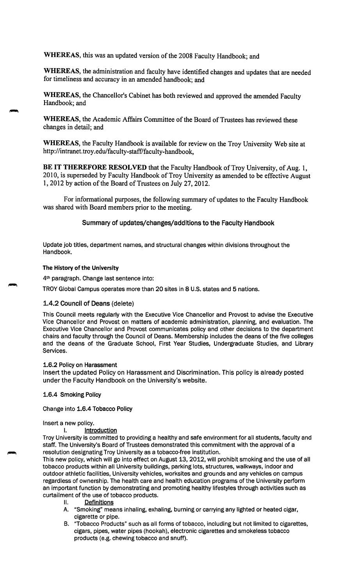**WHEREAS,** this was an updated version of the 2008 Faculty Handbook; and

**WHEREAS,** the administration and faculty have identified changes and updates that are needed for timeliness and accuracy in an amended handbook; and

**WHEREAS,** the Chancellor's Cabinet has both reviewed and approved the amended Faculty Handbook; and

**WHEREAS,** the Academic Affairs Committee of the Board of Trustees has reviewed these changes in detail; and

**WHEREAS,** the Faculty Handbook is available for review on the Troy University Web site at http ://intranet. troy. edu/faculty-staff/faculty-handbook,

**BE IT THEREFORE RESOLVED** that the Faculty Handbook of Troy University, of Aug. 1, 2010, is superseded by Faculty Handbook of Troy University as amended to be effective August 1, 2012 by action of the Board of Trustees on July 27, 2012.

For informational purposes, the following summary of updates to the Faculty Handbook was shared with Board members prior to the meeting.

Summary of updates/changes/additions to the Faculty Handbook

Update job titles, department names, and structural changes within divisions throughout the Handbook.

### **The History of the University**

4th paragraph. Change last sentence into:

TROY Global Campus operates more than 20 sites in 8 U.S. states and 5 nations.

## 1.4.2 Council of Deans (delete)

This Council meets regularly with the Executive Vice Chancellor and Provost to advise the Executive Vice Chancellor and Provost on matters of academic administration, planning, and evaluation. The Executive Vice Chancellor and Provost communicates policy and other decisions to the department chairs and faculty through the Council of Deans. Membership includes the deans of the five colleges and the deans of the Graduate School, First Year Studies, Undergraduate Studies, and Library Services.

### **1.6.2 Policy on Harassment**

Insert the updated Policy on Harassment and Discrimination. This policy is already posted under the Faculty Handbook on the University's website.

## **1.6.4 Smoking Policy**

Change into **1.6.4 Tobacco Policy** 

### Insert a new policy.

I. **Introduction** 

Troy University is committed to providing a healthy and safe environment for all students, faculty and staff. The University's Board of Trustees demonstrated this commitment with the approval of a resolution designating Troy University as a tobacco-free institution.

This new policy, which will go into effect on August 13, 2012, will prohibit smoking and the use of all tobacco products within all University buildings, parking lots, structures, walkways, indoor and outdoor athletic facilities, University vehicles, worksites and grounds and any vehicles on campus regardless of ownership. The health care and health education programs of the University perform an important function by demonstrating and promoting healthy lifestyles through activities such as curtailment of the use of tobacco products.

- II. Definitions
- A. "Smoking" means inhaling, exhaling, burning or carrying any lighted or heated cigar, cigarette or pipe.
- B. •Tobacco Products" such as all forms of tobacco, including but not limited to cigarettes, cigars, pipes, water pipes (hookah), electronic cigarettes and smokeless tobacco products (e.g. chewing tobacco and snuff).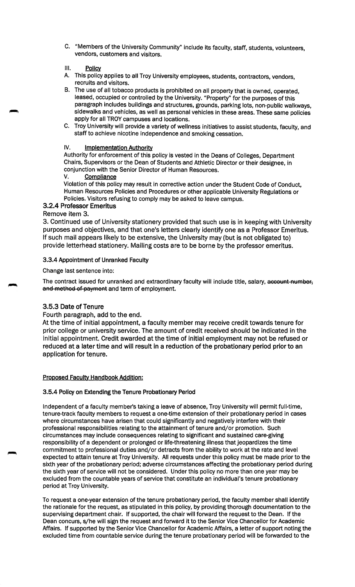- C. "Members of the University Community" include its faculty, staff, students, volunteers, vendors, customers and visitors.
- III. Policy
- A. This policy applies to all Troy University employees, students, contractors, vendors, recruits and visitors.
- B. The use of all tobacco products is prohibited on all property that is owned, operated, leased, occupied or controlled by the University. "Property" for the purposes of this paragraph includes buildings and structures, grounds, parking lots, non-public walkways, sidewalks and vehicles, as well as personal vehicles in these areas. These same policies apply for all TROY campuses and locations.
- C. Troy University will provide a variety of wellness initiatives to assist students, faculty, and staff to achieve nicotine independence and smoking cessation.

### **IV. Implementation Authority**

Authority for enforcement of this policy is vested in the Deans of Colleges, Department Chairs, Supervisors or the Dean of Students and Athletic Director or their designee, in conjunction with the Senior Director of Human Resources.

### V. Compliance

Violation of this policy may result in corrective action under the Student Code of Conduct, Human Resources Policies and Procedures or other applicable University Regulations or Policies. Visitors refusing to comply may be asked to leave campus.

## **3.2.4** Professor Emeritus

## Remove item 3.

3. Continued use of University stationery provided that such use is in keeping with University purposes and objectives, and that one's letters clearly identify one as a Professor Emeritus. If such mail appears likely to be extensive, the University may (but is not obligated to) provide letterhead stationery. Mailing costs are to be borne by the professor emeritus.

## 3.3.4 Appointment of Unranked Faculty

Change last sentence into:

The contract issued for unranked and extraordinary faculty will include title, salary, account number, and method of payment and term of employment.

## 3.5.3 Date of Tenure

Fourth paragraph, add to the end.

At the time of initial appointment, a faculty member may receive credit towards tenure for prior college or university service. The amount of credit received should be indicated in the initial appointment. Credit awarded at the time of initial employment may not be refused or reduced at a later time and will result in a reduction of the probationary period prior to an application for tenure.

### Proposed Faculty Handbook Addition:

### 3.5.4 Policy on Extending the Tenure Probationary Period

Independent of a faculty member's taking a leave of absence, Troy University will permit full-time, tenure-track faculty members to request a one-time extension of their probationary period in cases where circumstances have arisen that could significantly and negatively interfere with their professional responsibilities relating to the attainment of tenure and/or promotion. Such circumstances may include consequences relating to significant and sustained care-giving responsibility of a dependent or prolonged or life-threatening illness that jeopardizes the time commitment to professional duties and/or detracts from the ability to work at the rate and level expected to attain tenure at Troy University. All requests under this policy must be made prior to the sixth year of the probationary period; adverse circumstances affecting the probationary period during the sixth year of service will not be considered. Under this policy no more than one year may be excluded from the countable years of service that constitute an individual's tenure probationary period at Troy University.

To request a one-year extension of the tenure probationary period, the faculty member shall identify the rationale for the request, as stipulated in this policy, by providing thorough documentation to the supervising department chair. If supported, the chair will forward the request to the Dean. If the Dean concurs, s/he will sign the request and forward it to the Senior Vice Chancellor for Academic Affairs. If supported by the Senior Vice Chancellor for Academic Affairs, a letter of support noting the excluded time from countable service during the tenure probationary period will be forwarded to the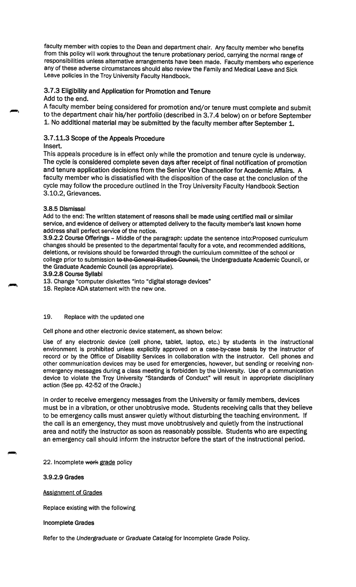faculty member with copies to the Dean and department chair. Any faculty member who benefits from this policy will work throughout the tenure probationary period, carrying the normal range of responsibilities unless alternative arrangements have been made. Faculty members who experience any of these adverse circumstances should also review the Family and Medical Leave and Sick Leave policies in the Troy University Faculty Handbook.

# 3.7.3 Eligibility and Application for Promotion and Tenure

Add to the end.

A faculty member being considered for promotion and/or tenure must complete and submit to the department chair his/her portfolio (described in 3.7.4 below) on or before September 1. No additional material may be submitted by the faculty member after September 1.

## 3. 7 .11.3 Scope of the Appeals Procedure

Insert.

This appeals procedure is in effect only while the promotion and tenure cycle is underway. The cycle is considered complete seven days after receipt of final notification of promotion and tenure application decisions from the Senior Vice Chancellor for Academic Affairs. A faculty member who is dissatisfied with the disposition of the case at the conclusion of the cycle may follow the procedure outlined in the Troy University Faculty Handbook Section 3.10.2, Grievances.

### **3.8.5** Dismissal

Add to the end: The written statement of reasons shall be made using certified mail or similar service, and evidence of delivery or attempted delivery to the faculty member's last known home address shall perfect service of the notice.

**3.9.2.2 Course Offerings** - Middle of the paragraph: update the sentence into:Proposed curriculum changes should be presented to the departmental faculty for a vote, and recommended additions, deletions, or revisions should be forwarded through the curriculum committee of the school or college prior to submission to the General Studies Council, the Undergraduate Academic Council, or the Graduate Academic Council (as appropriate).

#### **3.9.2.8 CourseSyllabi**

13. Change "computer diskettes "into "digital storage devices"

18. Replace ADA statement with the new one.

### 19. Replace with the updated one

Cell phone and other electronic device statement, as shown below:

Use of any electronic device (cell phone, tablet, laptop, etc.) by students in the instructional environment is prohibited unless explicitly approved on a case-by-case basis by the instructor of record or by the Office of Disability Services in collaboration with the instructor. Cell phones and other communication devices may be used for emergencies, however, but sending or receiving nonemergency messages during a class meeting is forbidden by the University. Use of a communication device to violate the Troy University "Standards of Conduct" will result in appropriate disciplinary action (See pp. 42-52 of the Oracle.)

In order to receive emergency messages from the University or family members, devices must be in a vibration, or other unobtrusive mode. Students receiving calls that they believe to be emergency calls must answer quietly without disturbing the teaching environment. If the call is an emergency, they must move unobtrusively and quietly from the instructional area and notify the instructor as soon as reasonably possible. Students who are expecting an emergency call should inform the instructor before the start of the instructional period.

22. Incomplete work grade policy

**3.9.2.9 Grades** 

### Assignment of Grades

Replace existing with the following

### **Incomplete Grades**

Refer to the Undergraduate or Graduate Catalog for Incomplete Grade Policy.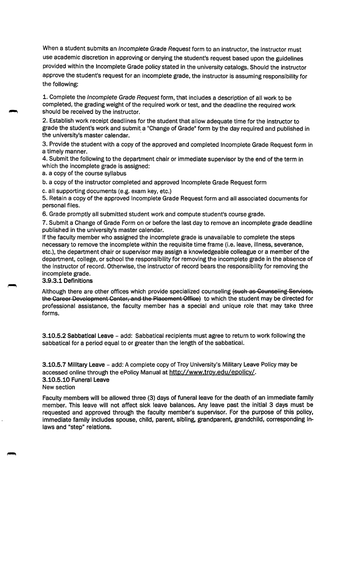When a student submits an *Incomplete Grade Request* form to an instructor, the instructor must use academic discretion in approving or denying the student's request based upon the guidelines provided within the Incomplete Grade policy stated in the university catalogs. Should the instructor approve the student's request for an incomplete grade, the instructor is assuming responsibility for the following:

1. Complete the Incomplete Grade Request form, that includes a description of all work to be completed, the grading weight of the required work or test, and the deadline the required work should be received by the instructor.

2. Establish work receipt deadlines for the student that allow adequate time for the instructor to grade the student's work and submit a "Change of Grade" form by the day required and published in the university's master calendar.

3. Provide the student with a copy of the approved and completed Incomplete Grade Request form in a timely manner.

4. Submit the following to the department chair or immediate supervisor by the end of the term in which the incomplete grade is assigned:

a. a copy of the course syllabus

b. a copy of the instructor completed and approved Incomplete Grade Request form

c. all supporting documents (e.g. exam key, etc.)

5. Retain a copy of the approved Incomplete Grade Request form and all associated documents for personal files.

6. Grade promptly all submitted student work and compute student's course grade.

7. Submit a Change of Grade Form on or before the last day to remove an incomplete grade deadline published in the university's master calendar.

If the faculty member who assigned the incomplete grade is unavailable to complete the steps necessary to remove the incomplete within the requisite time frame (i.e. leave, illness, severance, etc.), the department chair or supervisor may assign a knowledgeable colleague or a member of the department, college, or school the responsibility for removing the incomplete grade in the absence of the instructor of record. Otherwise, the instructor of record bears the responsibility for removing the incomplete grade.

# **3.9.3.1 Definitions**

Although there are other offices which provide specialized counseling (such as Counseling Services, the Career Development Center, and the Placement Office) to which the student may be directed for professional assistance, the faculty member has a special and unique role that may take three forms.

**3.10.5.2 Sabbatical Leave** - add: Sabbatical recipients must agree to return to work following the sabbatical for a period equal to or greater than the length of the sabbatical.

**3.10.5.7 Military Leave** - add: A complete copy of Troy University's Military Leave Policy may be accessed online through the ePolicy Manual at <http://www.troy.edu/epolicy>/. [3.10.5.10](https://3.10.5.10) Funeral Leave New section

Faculty members will be allowed three (3) days of funeral leave for the death of an immediate family member. This leave will not affect sick leave balances. Any leave past the initial 3 days must be requested and approved through the faculty member's supervisor. For the purpose of this policy, immediate family includes spouse, child, parent, sibling, grandparent, grandchild, corresponding inlaws and "step" relations.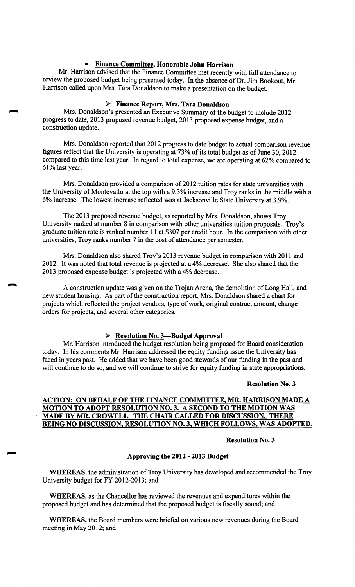## • **Finance Committee, Honorable John Harrison**

Mr. Harrison advised that the Finance Committee met recently with full attendance to review the proposed budget being presented today. In the absence of Dr. Jim Bookout, Mr. Harrison called upon Mrs. Tara Donaldson to make a presentation on the budget.

## ► **Finance Report, Mrs. Tara Donaldson**

Mrs. Donaldson's presented an Executive Summary of the budget to include 2012 progress to date, 2013 proposed revenue budget, 2013 proposed expense budget, and a construction update.

Mrs. Donaldson reported that 2012 progress to date budget to actual comparison revenue figures reflect that the University is operating at 73% of its total budget as of June 30, 2012 compared to this time last year. In regard to total expense, we are operating at 62% compared to 61% last year.

Mrs. Donaldson provided a comparison of 2012 tuition rates for state universities with the University of Montevallo at the top with a 9.3% increase and Troy ranks in the middle with a 6% increase. The lowest increase reflected was at Jacksonville State University at 3.9%.

The 2013 proposed revenue budget, as reported by Mrs. Donaldson, shows Troy University ranked at number 8 in comparison with other universities tuition proposals. Troy's graduate tuition rate is ranked number 11 at \$307 per credit hour. In the comparison with other universities, Troy ranks number 7 in the cost of attendance per semester.

Mrs. Donaldson also shared Troy's 2013 revenue budget in comparison with 2011 and 2012. It was noted that total revenue is projected at a 4% decrease. She also shared that the 2013 proposed expense budget is projected with a 4% decrease.

A construction update was given on the Trojan Arena, the demolition of Long Hall, and new student housing. As part of the construction report, Mrs. Donaldson shared a chart for projects which reflected the project vendors, type of work, original contract amount, change orders for projects, and several other categories.

#### ► **Resolution No. 3-Budget Approval**

Mr. Harrison introduced the budget resolution being proposed for Board consideration today. In his comments Mr. Harrison addressed the equity funding issue the University has faced in years past. He added that we have been good stewards of our funding in the past and will continue to do so, and we will continue to strive for equity funding in state appropriations.

#### **Resolution No. 3**

## **ACTION: ON BEHALF OF THE FINANCE COMMITTEE, MR. HARRISON MADE A MOTION TO ADOPT RESOLUTION NO. 3. A SECOND TO THE MOTION WAS MADE BY MR. CROWELL. THE CHAIR CALLED FOR DISCUSSION. THERE BEING NO DISCUSSION, RESOLUTION NO. 3, WHICH FOLLOWS, WAS ADOPTED.**

### **Resolution No. 3**

### **Approving the 2012** - **2013 Budget**

**WHEREAS,** the administration of Troy University has developed and recommended the Troy University budget for FY 2012-2013; and

**WHEREAS,** as the Chancellor has reviewed the revenues and expenditures within the proposed budget and has determined that the proposed budget is fiscally sound; and

**WHEREAS,** the Board members were briefed on various new revenues during the Board meeting in May 2012; and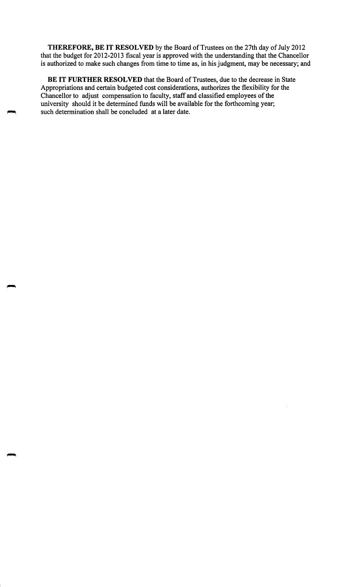**THEREFORE, BE IT RESOLVED** by the Board of Trustees on the 27th day of July 2012 that the budget for 2012-2013 fiscal year is approved with the understanding that the Chancellor is authorized to make such changes from time to time as, in his judgment, may be necessary; and

**BE IT FURTHER RESOLVED** that the Board of Trustees, due to the decrease in State Appropriations and certain budgeted cost considerations, authorizes the flexibility for the Chancellor to adjust compensation to faculty, staff and classified employees of the university should it be determined funds will be available for the forthcoming year; such determination shall be concluded at a later date.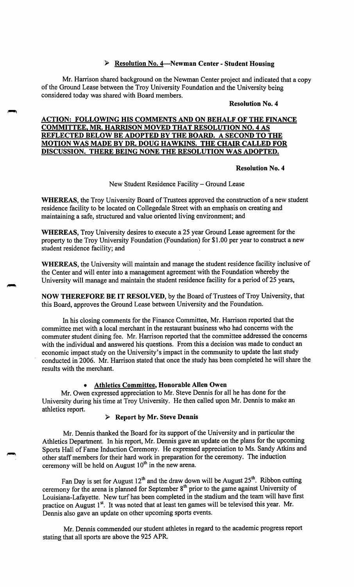## ► **Resolution No. 4-Newman Center** - **Student Housing**

Mr. Harrison shared background on the Newman Center project and indicated that a copy of the Ground Lease between the Troy University Foundation and the University being considered today was shared with Board members.

#### **Resolution No. 4**

### **ACTION: FOLLOWING HIS COMMENTS AND ON BEHALF OF THE FINANCE COMMITTEE, MR. HARRISON MOVED THAT RESOLUTION NO. 4 AS REFLECTED BELOW BE ADOPTED BY THE BOARD. A SECOND TO THE MOTION WAS MADE BY DR. DOUG HAWKINS. THE CHAIR CALLED FOR DISCUSSION. THERE BEING NONE THE RESOLUTION WAS ADOPTED.**

### **Resolution No. 4**

### New Student Residence Facility-Ground Lease

**WHEREAS,** the Troy University Board of Trustees approved the construction of a new student residence facility to be located on Collegedale Street with an emphasis on creating and maintaining a safe, structured and value oriented living environment; and

**WHEREAS,** Troy University desires to execute a 25 year Ground Lease agreement for the property to the Troy University Foundation (Foundation) for \$1.00 per year to construct a new student residence facility; and

**WHEREAS,** the University will maintain and manage the student residence facility inclusive of the Center and will enter into a management agreement with the Foundation whereby the University will manage and maintain the student residence facility for a period of 25 years,

**NOW THEREFORE BE IT RESOLVED,** by the Board of Trustees of Troy University, that this Board, approves the Ground Lease between University and the Foundation.

In his closing comments for the Finance Committee, Mr. Harrison reported that the committee met with a local merchant in the restaurant business who had concerns with the commuter student dining fee. Mr. Harrison reported that the committee addressed the concerns with the individual and answered his questions. From this a decision was made to conduct an economic impact study on the University's impact in the community to update the last study conducted in 2006. Mr. Harrison stated that once the study has been completed he will share the results with the merchant.

### • **Athletics Committee, Honorable Allen Owen**

Mr. Owen expressed appreciation to Mr. Steve Dennis for all he has done for the University during his time at Troy University. He then called upon Mr. Dennis to make an athletics report.

### ► **Report by Mr. Steve Dennis**

Mr. Dennis thanked the Board for its support of the University and in particular the Athletics Department. In his report, Mr. Dennis gave an update on the plans for the upcoming Sports Hall of Fame Induction Ceremony. He expressed appreciation to Ms. Sandy Atkins and other staff members for their hard work in preparation for the ceremony. The induction ceremony will be held on August  $10<sup>th</sup>$  in the new arena.

Fan Day is set for August 12<sup>th</sup> and the draw down will be August 25<sup>th</sup>. Ribbon cutting ceremony for the arena is planned for September  $8<sup>th</sup>$  prior to the game against University of Louisiana-Lafayette. New turf has been completed in the stadium and the team will have first practice on August 1<sup>st</sup>. It was noted that at least ten games will be televised this year. Mr. Dennis also gave an update on other upcoming sports events.

Mr. Dennis commended our student athletes in regard to the academic progress report stating that all sports are above the 925 APR.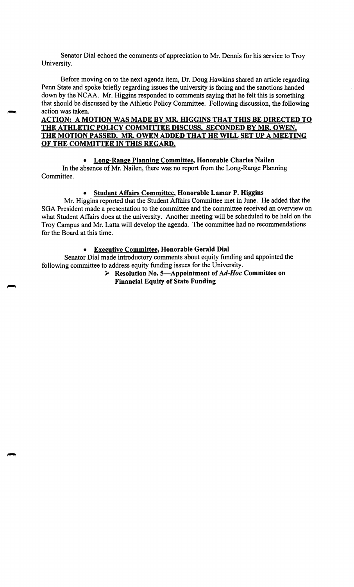Senator Dial echoed the comments of appreciation to Mr. Dennis for his service to Troy University.

Before moving on to the next agenda item, Dr. Doug Hawkins shared an article regarding Penn State and spoke briefly regarding issues the university is facing and the sanctions handed down by the NCAA. Mr. Higgins responded to comments saying that he felt this is something that should be discussed by the Athletic Policy Committee. Following discussion, the following action was taken.

## **ACTION: A MOTION WAS MADE BY MR. HIGGINS THAT THIS BE DIRECTED TO THE ATHLETIC POLICY COMMITTEE DISCUSS. SECONDED BY MR. OWEN, THE MOTION PASSED. MR. OWEN ADDED THAT HE WILL SET UP A MEETING OF THE COMMITTEE IN THIS REGARD.**

## • **Long-Range Planning Committee, Honorable Charles Nailen**

In the absence of Mr. Nailen, there was no report from the Long-Range Planning Committee.

## • **Student Affairs Committee, Honorable Lamar P. Higgins**

Mr. Higgins reported that the Student Affairs Committee met in June. He added that the SGA President made a presentation to the committee and the committee received an overview on what Student Affairs does at the university. Another meeting will be scheduled to be held on the Troy Campus and Mr. Latta will develop the agenda. The committee had no recommendations for the Board at this time.

### • **Executive Committee, Honorable Gerald Dial**

Senator Dial made introductory comments about equity funding and appointed the following committee to address equity funding issues for the University.

► **Resolution No. 5-Appointment of** *Ad-Hoc* **Committee on Financial Equity of State Funding**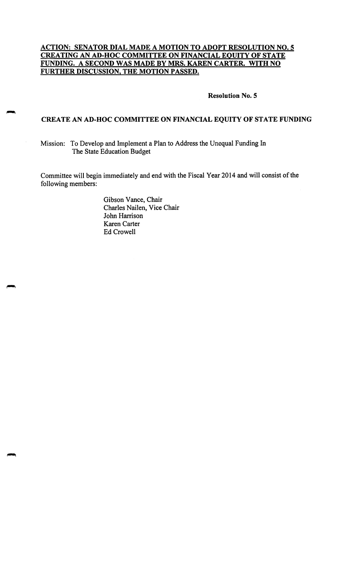## **ACTION: SENATOR DIAL MADE A MOTION TO ADOPT RESOLUTION NO. 5 CREATING AN AD-HOC COMMITTEE ON FINANCIAL EQUITY OF STATE FUNDING. A SECOND WAS MADE BY MRS. KAREN CARTER. WITH NO FURTHER DISCUSSION, THE MOTION PASSED.**

#### **Resolution No. 5**

### **CREATE AN AD-HOC COMMITTEE ON FINANCIAL EQUITY OF STATE FUNDING**

Mission: To Develop and Implement a Plan to Address the Unequal Funding In The State Education Budget

Committee will begin immediately and end with the Fiscal Year 2014 and will consist of the following members:

> Gibson Vance, Chair Charles Nailen, Vice Chair John Harrison Karen Carter Ed Crowell